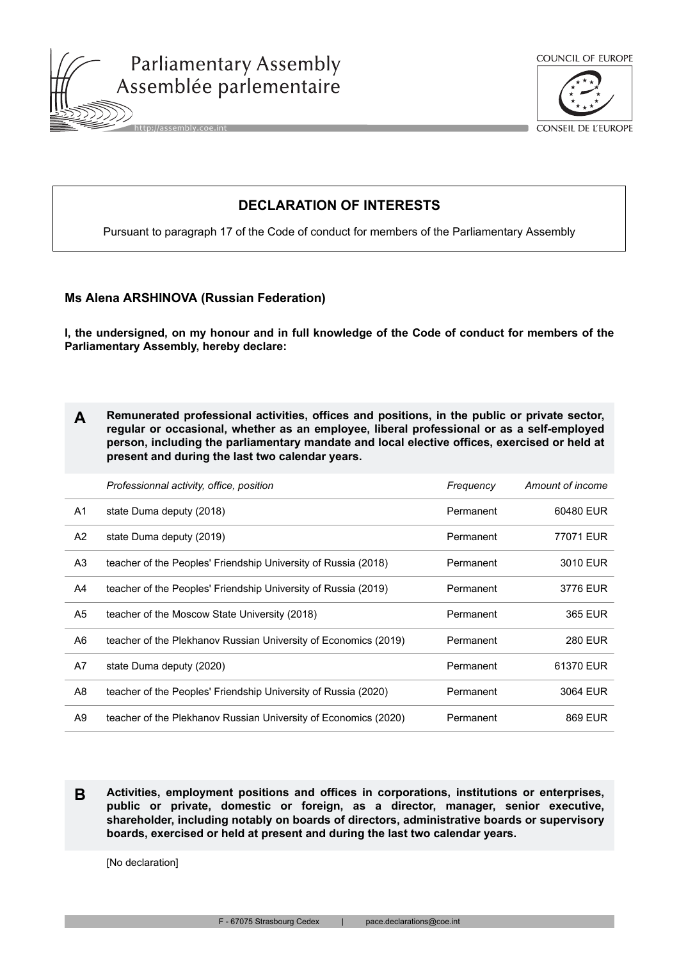



CONSEIL DE L'EUROPE

## **DECLARATION OF INTERESTS**

Pursuant to paragraph 17 of the Code of conduct for members of the Parliamentary Assembly

## **Ms Alena ARSHINOVA (Russian Federation)**

**I, the undersigned, on my honour and in full knowledge of the Code of conduct for members of the Parliamentary Assembly, hereby declare:**

| Remunerated professional activities, offices and positions, in the public or private sector, |
|----------------------------------------------------------------------------------------------|
| regular or occasional, whether as an employee, liberal professional or as a self-employed    |
| person, including the parliamentary mandate and local elective offices, exercised or held at |
| present and during the last two calendar years.                                              |

|    | Professionnal activity, office, position                        | Frequency | Amount of income |
|----|-----------------------------------------------------------------|-----------|------------------|
| A1 | state Duma deputy (2018)                                        | Permanent | 60480 EUR        |
| A2 | state Duma deputy (2019)                                        | Permanent | 77071 EUR        |
| A3 | teacher of the Peoples' Friendship University of Russia (2018)  | Permanent | 3010 EUR         |
| A4 | teacher of the Peoples' Friendship University of Russia (2019)  | Permanent | 3776 EUR         |
| A5 | teacher of the Moscow State University (2018)                   | Permanent | 365 EUR          |
| A6 | teacher of the Plekhanov Russian University of Economics (2019) | Permanent | <b>280 EUR</b>   |
| A7 | state Duma deputy (2020)                                        | Permanent | 61370 EUR        |
| A8 | teacher of the Peoples' Friendship University of Russia (2020)  | Permanent | 3064 EUR         |
| A9 | teacher of the Plekhanov Russian University of Economics (2020) | Permanent | 869 EUR          |

**B Activities, employment positions and offices in corporations, institutions or enterprises, public or private, domestic or foreign, as a director, manager, senior executive, shareholder, including notably on boards of directors, administrative boards or supervisory boards, exercised or held at present and during the last two calendar years.**

[No declaration]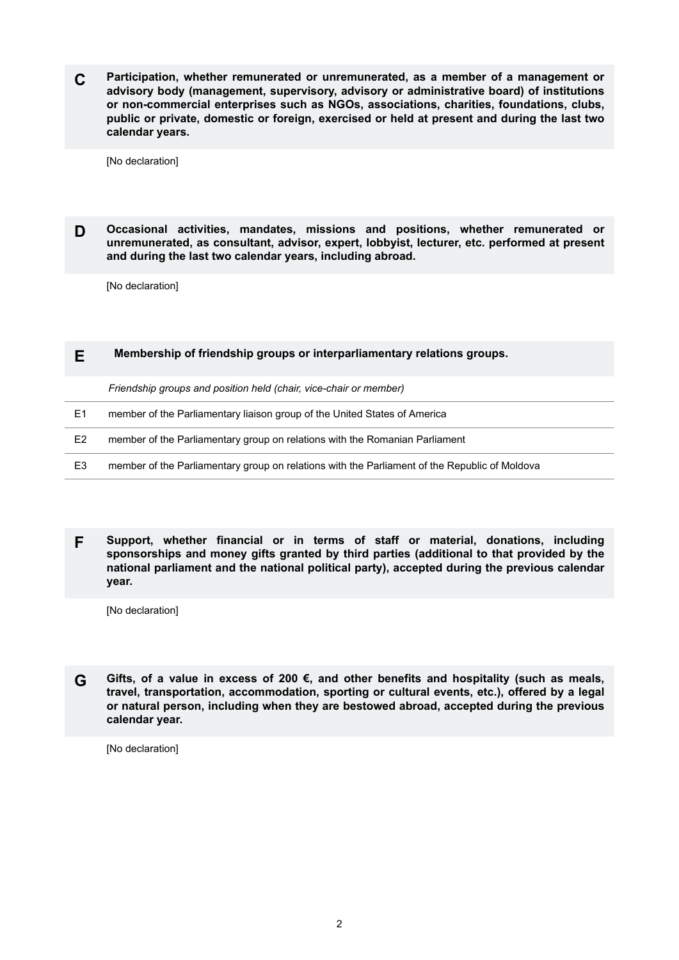**C Participation, whether remunerated or unremunerated, as a member of a management or advisory body (management, supervisory, advisory or administrative board) of institutions or non-commercial enterprises such as NGOs, associations, charities, foundations, clubs, public or private, domestic or foreign, exercised or held at present and during the last two calendar years.**

[No declaration]

**D Occasional activities, mandates, missions and positions, whether remunerated or unremunerated, as consultant, advisor, expert, lobbyist, lecturer, etc. performed at present and during the last two calendar years, including abroad.**

[No declaration]

## **E Membership of friendship groups or interparliamentary relations groups.**

*Friendship groups and position held (chair, vice-chair or member)*

|  | member of the Parliamentary liaison group of the United States of America |
|--|---------------------------------------------------------------------------|
|--|---------------------------------------------------------------------------|

- E2 member of the Parliamentary group on relations with the Romanian Parliament
- E3 member of the Parliamentary group on relations with the Parliament of the Republic of Moldova

**F Support, whether financial or in terms of staff or material, donations, including sponsorships and money gifts granted by third parties (additional to that provided by the national parliament and the national political party), accepted during the previous calendar year.**

[No declaration]

**G Gifts, of a value in excess of 200 €, and other benefits and hospitality (such as meals, travel, transportation, accommodation, sporting or cultural events, etc.), offered by a legal or natural person, including when they are bestowed abroad, accepted during the previous calendar year.**

[No declaration]